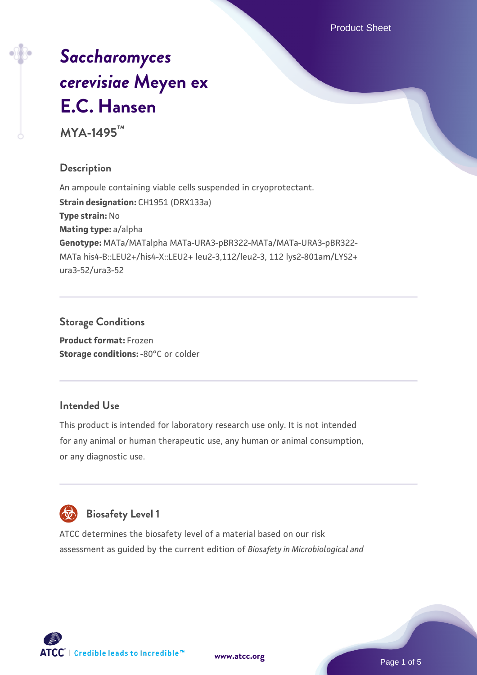Product Sheet

# *[Saccharomyces](https://www.atcc.org/products/mya-1495) [cerevisiae](https://www.atcc.org/products/mya-1495)* **[Meyen ex](https://www.atcc.org/products/mya-1495) [E.C. Hansen](https://www.atcc.org/products/mya-1495)**

**MYA-1495™**

# **Description**

An ampoule containing viable cells suspended in cryoprotectant. **Strain designation: CH1951 (DRX133a) Type strain:** No **Mating type:** a/alpha **Genotype:** MATa/MATalpha MATa-URA3-pBR322-MATa/MATa-URA3-pBR322- MATa his4-B::LEU2+/his4-X::LEU2+ leu2-3,112/leu2-3, 112 lys2-801am/LYS2+ ura3-52/ura3-52

## **Storage Conditions**

**Product format:** Frozen **Storage conditions: -80°C or colder** 

# **Intended Use**

This product is intended for laboratory research use only. It is not intended for any animal or human therapeutic use, any human or animal consumption, or any diagnostic use.



# **Biosafety Level 1**

ATCC determines the biosafety level of a material based on our risk assessment as guided by the current edition of *Biosafety in Microbiological and*

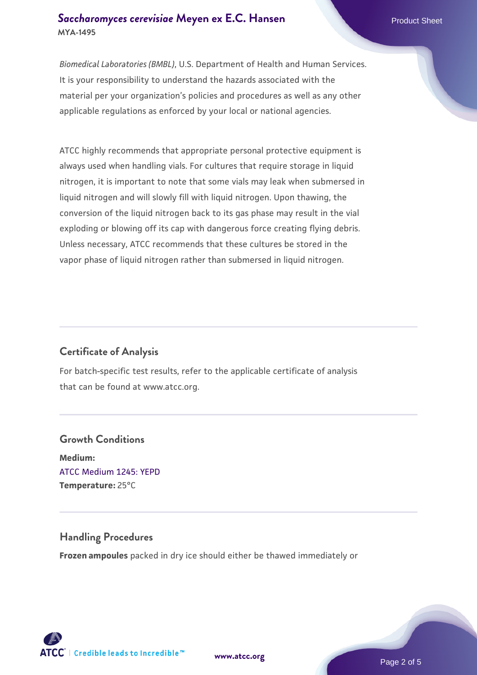### **[Saccharomyces cerevisiae](https://www.atcc.org/products/mya-1495)** [Meyen ex E.C. Hansen](https://www.atcc.org/products/mya-1495) **MYA-1495**

*Biomedical Laboratories (BMBL)*, U.S. Department of Health and Human Services. It is your responsibility to understand the hazards associated with the material per your organization's policies and procedures as well as any other applicable regulations as enforced by your local or national agencies.

ATCC highly recommends that appropriate personal protective equipment is always used when handling vials. For cultures that require storage in liquid nitrogen, it is important to note that some vials may leak when submersed in liquid nitrogen and will slowly fill with liquid nitrogen. Upon thawing, the conversion of the liquid nitrogen back to its gas phase may result in the vial exploding or blowing off its cap with dangerous force creating flying debris. Unless necessary, ATCC recommends that these cultures be stored in the vapor phase of liquid nitrogen rather than submersed in liquid nitrogen.

# **Certificate of Analysis**

For batch-specific test results, refer to the applicable certificate of analysis that can be found at www.atcc.org.

# **Growth Conditions Medium:**  [ATCC Medium 1245: YEPD](https://www.atcc.org/-/media/product-assets/documents/microbial-media-formulations/1/2/4/5/atcc-medium-1245.pdf?rev=705ca55d1b6f490a808a965d5c072196) **Temperature:** 25°C

# **Handling Procedures**

**Frozen ampoules** packed in dry ice should either be thawed immediately or

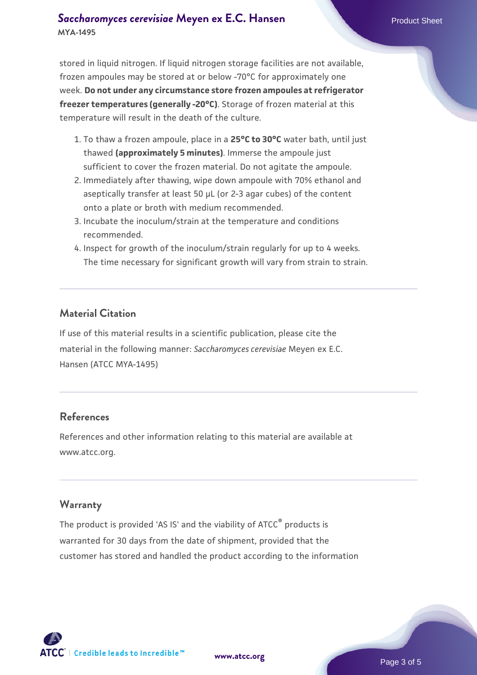## **[Saccharomyces cerevisiae](https://www.atcc.org/products/mya-1495)** [Meyen ex E.C. Hansen](https://www.atcc.org/products/mya-1495) **MYA-1495**

stored in liquid nitrogen. If liquid nitrogen storage facilities are not available, frozen ampoules may be stored at or below -70°C for approximately one week. **Do not under any circumstance store frozen ampoules at refrigerator freezer temperatures (generally -20°C)**. Storage of frozen material at this temperature will result in the death of the culture.

- 1. To thaw a frozen ampoule, place in a **25°C to 30°C** water bath, until just thawed **(approximately 5 minutes)**. Immerse the ampoule just sufficient to cover the frozen material. Do not agitate the ampoule.
- 2. Immediately after thawing, wipe down ampoule with 70% ethanol and aseptically transfer at least 50 µL (or 2-3 agar cubes) of the content onto a plate or broth with medium recommended.
- 3. Incubate the inoculum/strain at the temperature and conditions recommended.
- 4. Inspect for growth of the inoculum/strain regularly for up to 4 weeks. The time necessary for significant growth will vary from strain to strain.

## **Material Citation**

If use of this material results in a scientific publication, please cite the material in the following manner: *Saccharomyces cerevisiae* Meyen ex E.C. Hansen (ATCC MYA-1495)

#### **References**

References and other information relating to this material are available at www.atcc.org.

#### **Warranty**

The product is provided 'AS IS' and the viability of ATCC® products is warranted for 30 days from the date of shipment, provided that the customer has stored and handled the product according to the information

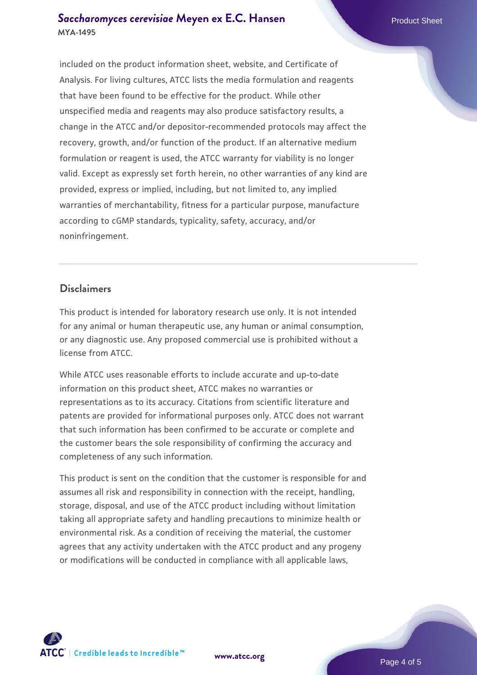### **[Saccharomyces cerevisiae](https://www.atcc.org/products/mya-1495)** [Meyen ex E.C. Hansen](https://www.atcc.org/products/mya-1495) **MYA-1495**

included on the product information sheet, website, and Certificate of Analysis. For living cultures, ATCC lists the media formulation and reagents that have been found to be effective for the product. While other unspecified media and reagents may also produce satisfactory results, a change in the ATCC and/or depositor-recommended protocols may affect the recovery, growth, and/or function of the product. If an alternative medium formulation or reagent is used, the ATCC warranty for viability is no longer valid. Except as expressly set forth herein, no other warranties of any kind are provided, express or implied, including, but not limited to, any implied warranties of merchantability, fitness for a particular purpose, manufacture according to cGMP standards, typicality, safety, accuracy, and/or noninfringement.

#### **Disclaimers**

This product is intended for laboratory research use only. It is not intended for any animal or human therapeutic use, any human or animal consumption, or any diagnostic use. Any proposed commercial use is prohibited without a license from ATCC.

While ATCC uses reasonable efforts to include accurate and up-to-date information on this product sheet, ATCC makes no warranties or representations as to its accuracy. Citations from scientific literature and patents are provided for informational purposes only. ATCC does not warrant that such information has been confirmed to be accurate or complete and the customer bears the sole responsibility of confirming the accuracy and completeness of any such information.

This product is sent on the condition that the customer is responsible for and assumes all risk and responsibility in connection with the receipt, handling, storage, disposal, and use of the ATCC product including without limitation taking all appropriate safety and handling precautions to minimize health or environmental risk. As a condition of receiving the material, the customer agrees that any activity undertaken with the ATCC product and any progeny or modifications will be conducted in compliance with all applicable laws,

**[www.atcc.org](http://www.atcc.org)**

Page 4 of 5